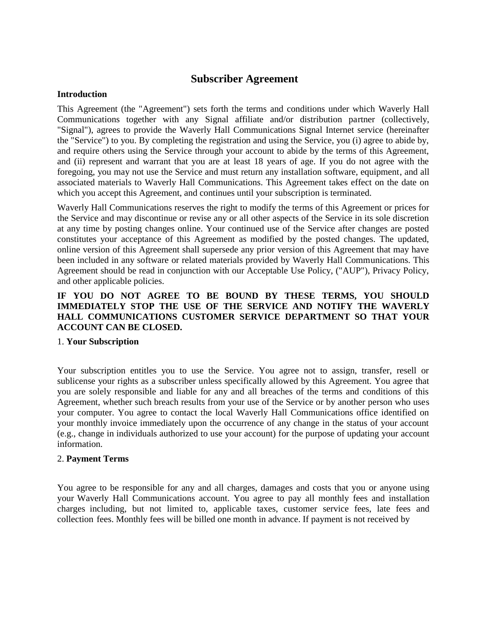# **Subscriber Agreement**

### **Introduction**

This Agreement (the "Agreement") sets forth the terms and conditions under which Waverly Hall Communications together with any Signal affiliate and/or distribution partner (collectively, "Signal"), agrees to provide the Waverly Hall Communications Signal Internet service (hereinafter the "Service") to you. By completing the registration and using the Service, you (i) agree to abide by, and require others using the Service through your account to abide by the terms of this Agreement, and (ii) represent and warrant that you are at least 18 years of age. If you do not agree with the foregoing, you may not use the Service and must return any installation software, equipment, and all associated materials to Waverly Hall Communications. This Agreement takes effect on the date on which you accept this Agreement, and continues until your subscription is terminated.

Waverly Hall Communications reserves the right to modify the terms of this Agreement or prices for the Service and may discontinue or revise any or all other aspects of the Service in its sole discretion at any time by posting changes online. Your continued use of the Service after changes are posted constitutes your acceptance of this Agreement as modified by the posted changes. The updated, online version of this Agreement shall supersede any prior version of this Agreement that may have been included in any software or related materials provided by Waverly Hall Communications. This Agreement should be read in conjunction with our Acceptable Use Policy, ("AUP"), Privacy Policy, and other applicable policies.

# **IF YOU DO NOT AGREE TO BE BOUND BY THESE TERMS, YOU SHOULD IMMEDIATELY STOP THE USE OF THE SERVICE AND NOTIFY THE WAVERLY HALL COMMUNICATIONS CUSTOMER SERVICE DEPARTMENT SO THAT YOUR ACCOUNT CAN BE CLOSED.**

### 1. **Your Subscription**

Your subscription entitles you to use the Service. You agree not to assign, transfer, resell or sublicense your rights as a subscriber unless specifically allowed by this Agreement. You agree that you are solely responsible and liable for any and all breaches of the terms and conditions of this Agreement, whether such breach results from your use of the Service or by another person who uses your computer. You agree to contact the local Waverly Hall Communications office identified on your monthly invoice immediately upon the occurrence of any change in the status of your account (e.g., change in individuals authorized to use your account) for the purpose of updating your account information.

### 2. **Payment Terms**

You agree to be responsible for any and all charges, damages and costs that you or anyone using your Waverly Hall Communications account. You agree to pay all monthly fees and installation charges including, but not limited to, applicable taxes, customer service fees, late fees and collection fees. Monthly fees will be billed one month in advance. If payment is not received by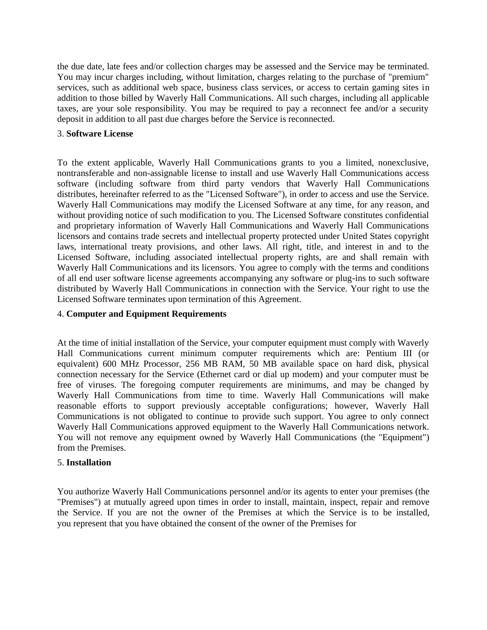the due date, late fees and/or collection charges may be assessed and the Service may be terminated. You may incur charges including, without limitation, charges relating to the purchase of "premium" services, such as additional web space, business class services, or access to certain gaming sites in addition to those billed by Waverly Hall Communications. All such charges, including all applicable taxes, are your sole responsibility. You may be required to pay a reconnect fee and/or a security deposit in addition to all past due charges before the Service is reconnected.

### 3. **Software License**

To the extent applicable, Waverly Hall Communications grants to you a limited, nonexclusive, nontransferable and non-assignable license to install and use Waverly Hall Communications access software (including software from third party vendors that Waverly Hall Communications distributes, hereinafter referred to as the "Licensed Software"), in order to access and use the Service. Waverly Hall Communications may modify the Licensed Software at any time, for any reason, and without providing notice of such modification to you. The Licensed Software constitutes confidential and proprietary information of Waverly Hall Communications and Waverly Hall Communications licensors and contains trade secrets and intellectual property protected under United States copyright laws, international treaty provisions, and other laws. All right, title, and interest in and to the Licensed Software, including associated intellectual property rights, are and shall remain with Waverly Hall Communications and its licensors. You agree to comply with the terms and conditions of all end user software license agreements accompanying any software or plug-ins to such software distributed by Waverly Hall Communications in connection with the Service. Your right to use the Licensed Software terminates upon termination of this Agreement.

### 4. **Computer and Equipment Requirements**

At the time of initial installation of the Service, your computer equipment must comply with Waverly Hall Communications current minimum computer requirements which are: Pentium III (or equivalent) 600 MHz Processor, 256 MB RAM, 50 MB available space on hard disk, physical connection necessary for the Service (Ethernet card or dial up modem) and your computer must be free of viruses. The foregoing computer requirements are minimums, and may be changed by Waverly Hall Communications from time to time. Waverly Hall Communications will make reasonable efforts to support previously acceptable configurations; however, Waverly Hall Communications is not obligated to continue to provide such support. You agree to only connect Waverly Hall Communications approved equipment to the Waverly Hall Communications network. You will not remove any equipment owned by Waverly Hall Communications (the "Equipment") from the Premises.

### 5. **Installation**

You authorize Waverly Hall Communications personnel and/or its agents to enter your premises (the "Premises") at mutually agreed upon times in order to install, maintain, inspect, repair and remove the Service. If you are not the owner of the Premises at which the Service is to be installed, you represent that you have obtained the consent of the owner of the Premises for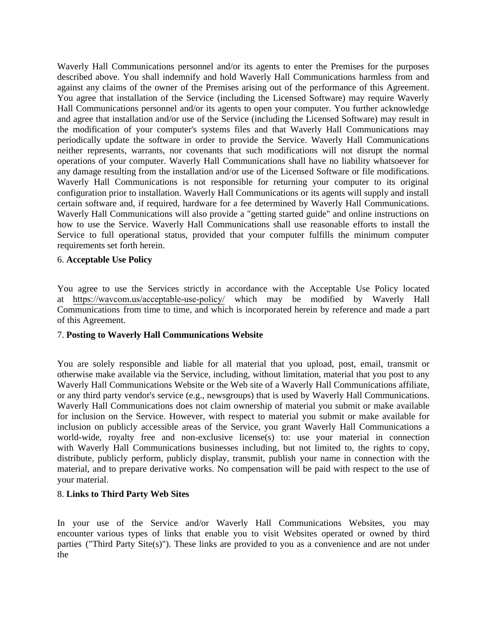Waverly Hall Communications personnel and/or its agents to enter the Premises for the purposes described above. You shall indemnify and hold Waverly Hall Communications harmless from and against any claims of the owner of the Premises arising out of the performance of this Agreement. You agree that installation of the Service (including the Licensed Software) may require Waverly Hall Communications personnel and/or its agents to open your computer. You further acknowledge and agree that installation and/or use of the Service (including the Licensed Software) may result in the modification of your computer's systems files and that Waverly Hall Communications may periodically update the software in order to provide the Service. Waverly Hall Communications neither represents, warrants, nor covenants that such modifications will not disrupt the normal operations of your computer. Waverly Hall Communications shall have no liability whatsoever for any damage resulting from the installation and/or use of the Licensed Software or file modifications. Waverly Hall Communications is not responsible for returning your computer to its original configuration prior to installation. Waverly Hall Communications or its agents will supply and install certain software and, if required, hardware for a fee determined by Waverly Hall Communications. Waverly Hall Communications will also provide a "getting started guide" and online instructions on how to use the Service. Waverly Hall Communications shall use reasonable efforts to install the Service to full operational status, provided that your computer fulfills the minimum computer requirements set forth herein.

### 6. **Acceptable Use Policy**

You agree to use the Services strictly in accordance with the Acceptable Use Policy located at https://wavcom.us/acceptable-use-policy/ which may be modified by Waverly Hall Communications from time to time, and which is incorporated herein by reference and made a part of this Agreement.

### 7. **Posting to Waverly Hall Communications Website**

You are solely responsible and liable for all material that you upload, post, email, transmit or otherwise make available via the Service, including, without limitation, material that you post to any Waverly Hall Communications Website or the Web site of a Waverly Hall Communications affiliate, or any third party vendor's service (e.g., newsgroups) that is used by Waverly Hall Communications. Waverly Hall Communications does not claim ownership of material you submit or make available for inclusion on the Service. However, with respect to material you submit or make available for inclusion on publicly accessible areas of the Service, you grant Waverly Hall Communications a world-wide, royalty free and non-exclusive license(s) to: use your material in connection with Waverly Hall Communications businesses including, but not limited to, the rights to copy, distribute, publicly perform, publicly display, transmit, publish your name in connection with the material, and to prepare derivative works. No compensation will be paid with respect to the use of your material.

### 8. **Links to Third Party Web Sites**

In your use of the Service and/or Waverly Hall Communications Websites, you may encounter various types of links that enable you to visit Websites operated or owned by third parties ("Third Party Site(s)"). These links are provided to you as a convenience and are not under the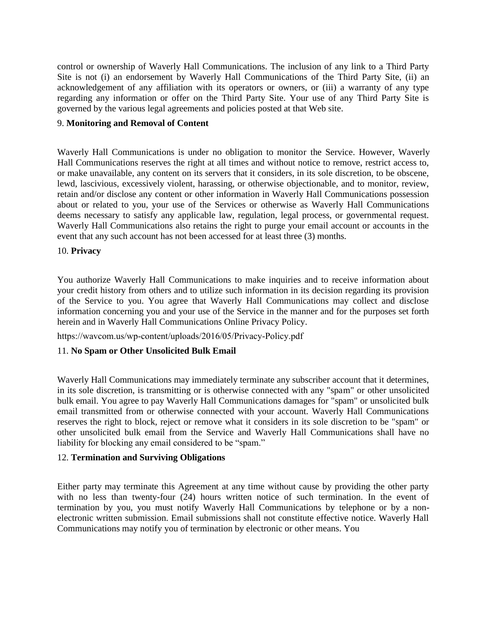control or ownership of Waverly Hall Communications. The inclusion of any link to a Third Party Site is not (i) an endorsement by Waverly Hall Communications of the Third Party Site, (ii) an acknowledgement of any affiliation with its operators or owners, or (iii) a warranty of any type regarding any information or offer on the Third Party Site. Your use of any Third Party Site is governed by the various legal agreements and policies posted at that Web site.

# 9. **Monitoring and Removal of Content**

Waverly Hall Communications is under no obligation to monitor the Service. However, Waverly Hall Communications reserves the right at all times and without notice to remove, restrict access to, or make unavailable, any content on its servers that it considers, in its sole discretion, to be obscene, lewd, lascivious, excessively violent, harassing, or otherwise objectionable, and to monitor, review, retain and/or disclose any content or other information in Waverly Hall Communications possession about or related to you, your use of the Services or otherwise as Waverly Hall Communications deems necessary to satisfy any applicable law, regulation, legal process, or governmental request. Waverly Hall Communications also retains the right to purge your email account or accounts in the event that any such account has not been accessed for at least three (3) months.

### 10. **Privacy**

You authorize Waverly Hall Communications to make inquiries and to receive information about your credit history from others and to utilize such information in its decision regarding its provision of the Service to you. You agree that Waverly Hall Communications may collect and disclose information concerning you and your use of the Service in the manner and for the purposes set forth herein and in Waverly Hall Communications Online Privacy Policy.

https://wavcom.us/wp-content/uploads/2016/05/Privacy-Policy.pdf

# 11. **No Spam or Other Unsolicited Bulk Email**

Waverly Hall Communications may immediately terminate any subscriber account that it determines, in its sole discretion, is transmitting or is otherwise connected with any "spam" or other unsolicited bulk email. You agree to pay Waverly Hall Communications damages for "spam" or unsolicited bulk email transmitted from or otherwise connected with your account. Waverly Hall Communications reserves the right to block, reject or remove what it considers in its sole discretion to be "spam" or other unsolicited bulk email from the Service and Waverly Hall Communications shall have no liability for blocking any email considered to be "spam."

# 12. **Termination and Surviving Obligations**

Either party may terminate this Agreement at any time without cause by providing the other party with no less than twenty-four (24) hours written notice of such termination. In the event of termination by you, you must notify Waverly Hall Communications by telephone or by a nonelectronic written submission. Email submissions shall not constitute effective notice. Waverly Hall Communications may notify you of termination by electronic or other means. You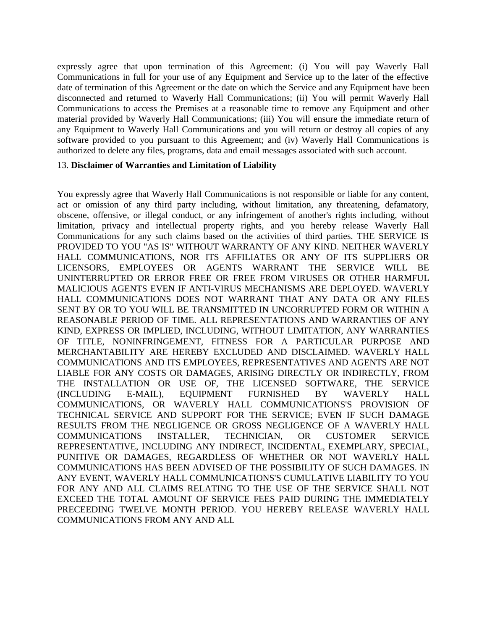expressly agree that upon termination of this Agreement: (i) You will pay Waverly Hall Communications in full for your use of any Equipment and Service up to the later of the effective date of termination of this Agreement or the date on which the Service and any Equipment have been disconnected and returned to Waverly Hall Communications; (ii) You will permit Waverly Hall Communications to access the Premises at a reasonable time to remove any Equipment and other material provided by Waverly Hall Communications; (iii) You will ensure the immediate return of any Equipment to Waverly Hall Communications and you will return or destroy all copies of any software provided to you pursuant to this Agreement; and (iv) Waverly Hall Communications is authorized to delete any files, programs, data and email messages associated with such account.

#### 13. **Disclaimer of Warranties and Limitation of Liability**

You expressly agree that Waverly Hall Communications is not responsible or liable for any content, act or omission of any third party including, without limitation, any threatening, defamatory, obscene, offensive, or illegal conduct, or any infringement of another's rights including, without limitation, privacy and intellectual property rights, and you hereby release Waverly Hall Communications for any such claims based on the activities of third parties. THE SERVICE IS PROVIDED TO YOU "AS IS" WITHOUT WARRANTY OF ANY KIND. NEITHER WAVERLY HALL COMMUNICATIONS, NOR ITS AFFILIATES OR ANY OF ITS SUPPLIERS OR LICENSORS, EMPLOYEES OR AGENTS WARRANT THE SERVICE WILL BE UNINTERRUPTED OR ERROR FREE OR FREE FROM VIRUSES OR OTHER HARMFUL MALICIOUS AGENTS EVEN IF ANTI-VIRUS MECHANISMS ARE DEPLOYED. WAVERLY HALL COMMUNICATIONS DOES NOT WARRANT THAT ANY DATA OR ANY FILES SENT BY OR TO YOU WILL BE TRANSMITTED IN UNCORRUPTED FORM OR WITHIN A REASONABLE PERIOD OF TIME. ALL REPRESENTATIONS AND WARRANTIES OF ANY KIND, EXPRESS OR IMPLIED, INCLUDING, WITHOUT LIMITATION, ANY WARRANTIES OF TITLE, NONINFRINGEMENT, FITNESS FOR A PARTICULAR PURPOSE AND MERCHANTABILITY ARE HEREBY EXCLUDED AND DISCLAIMED. WAVERLY HALL COMMUNICATIONS AND ITS EMPLOYEES, REPRESENTATIVES AND AGENTS ARE NOT LIABLE FOR ANY COSTS OR DAMAGES, ARISING DIRECTLY OR INDIRECTLY, FROM THE INSTALLATION OR USE OF, THE LICENSED SOFTWARE, THE SERVICE (INCLUDING E-MAIL), EQUIPMENT FURNISHED BY WAVERLY HALL COMMUNICATIONS, OR WAVERLY HALL COMMUNICATIONS'S PROVISION OF TECHNICAL SERVICE AND SUPPORT FOR THE SERVICE; EVEN IF SUCH DAMAGE RESULTS FROM THE NEGLIGENCE OR GROSS NEGLIGENCE OF A WAVERLY HALL COMMUNICATIONS INSTALLER, TECHNICIAN, OR CUSTOMER SERVICE REPRESENTATIVE, INCLUDING ANY INDIRECT, INCIDENTAL, EXEMPLARY, SPECIAL, PUNITIVE OR DAMAGES, REGARDLESS OF WHETHER OR NOT WAVERLY HALL COMMUNICATIONS HAS BEEN ADVISED OF THE POSSIBILITY OF SUCH DAMAGES. IN ANY EVENT, WAVERLY HALL COMMUNICATIONS'S CUMULATIVE LIABILITY TO YOU FOR ANY AND ALL CLAIMS RELATING TO THE USE OF THE SERVICE SHALL NOT EXCEED THE TOTAL AMOUNT OF SERVICE FEES PAID DURING THE IMMEDIATELY PRECEEDING TWELVE MONTH PERIOD. YOU HEREBY RELEASE WAVERLY HALL COMMUNICATIONS FROM ANY AND ALL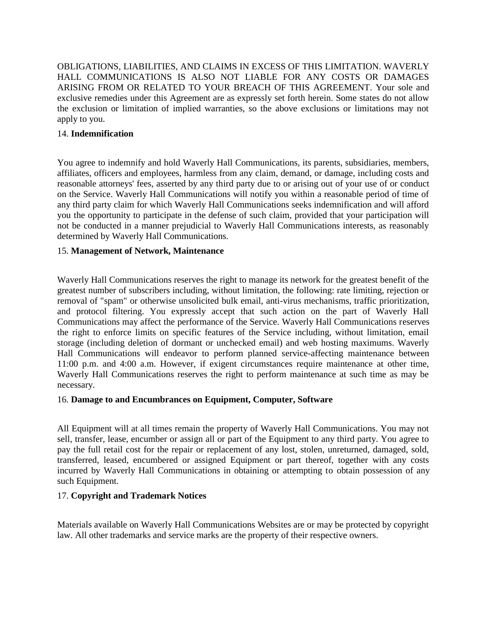OBLIGATIONS, LIABILITIES, AND CLAIMS IN EXCESS OF THIS LIMITATION. WAVERLY HALL COMMUNICATIONS IS ALSO NOT LIABLE FOR ANY COSTS OR DAMAGES ARISING FROM OR RELATED TO YOUR BREACH OF THIS AGREEMENT. Your sole and exclusive remedies under this Agreement are as expressly set forth herein. Some states do not allow the exclusion or limitation of implied warranties, so the above exclusions or limitations may not apply to you.

### 14. **Indemnification**

You agree to indemnify and hold Waverly Hall Communications, its parents, subsidiaries, members, affiliates, officers and employees, harmless from any claim, demand, or damage, including costs and reasonable attorneys' fees, asserted by any third party due to or arising out of your use of or conduct on the Service. Waverly Hall Communications will notify you within a reasonable period of time of any third party claim for which Waverly Hall Communications seeks indemnification and will afford you the opportunity to participate in the defense of such claim, provided that your participation will not be conducted in a manner prejudicial to Waverly Hall Communications interests, as reasonably determined by Waverly Hall Communications.

### 15. **Management of Network, Maintenance**

Waverly Hall Communications reserves the right to manage its network for the greatest benefit of the greatest number of subscribers including, without limitation, the following: rate limiting, rejection or removal of "spam" or otherwise unsolicited bulk email, anti-virus mechanisms, traffic prioritization, and protocol filtering. You expressly accept that such action on the part of Waverly Hall Communications may affect the performance of the Service. Waverly Hall Communications reserves the right to enforce limits on specific features of the Service including, without limitation, email storage (including deletion of dormant or unchecked email) and web hosting maximums. Waverly Hall Communications will endeavor to perform planned service-affecting maintenance between 11:00 p.m. and 4:00 a.m. However, if exigent circumstances require maintenance at other time, Waverly Hall Communications reserves the right to perform maintenance at such time as may be necessary.

### 16. **Damage to and Encumbrances on Equipment, Computer, Software**

All Equipment will at all times remain the property of Waverly Hall Communications. You may not sell, transfer, lease, encumber or assign all or part of the Equipment to any third party. You agree to pay the full retail cost for the repair or replacement of any lost, stolen, unreturned, damaged, sold, transferred, leased, encumbered or assigned Equipment or part thereof, together with any costs incurred by Waverly Hall Communications in obtaining or attempting to obtain possession of any such Equipment.

### 17. **Copyright and Trademark Notices**

Materials available on Waverly Hall Communications Websites are or may be protected by copyright law. All other trademarks and service marks are the property of their respective owners.